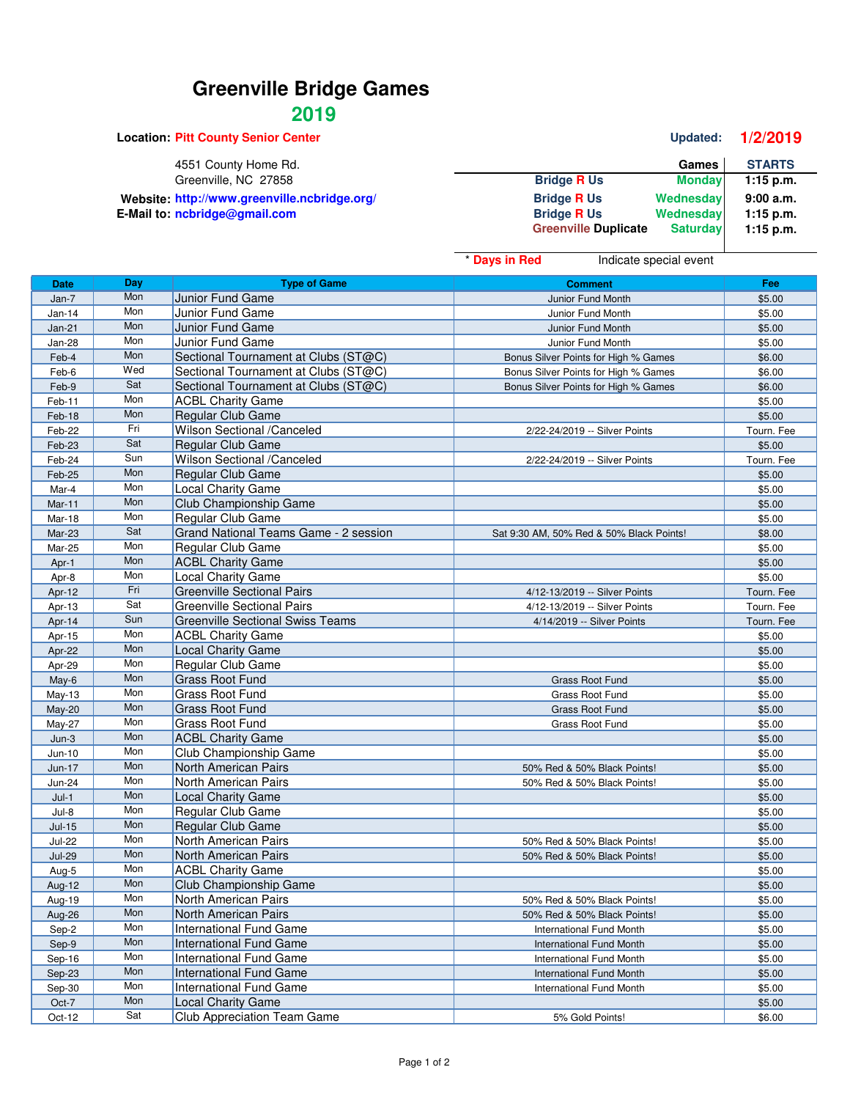## **Greenville Bridge Games**

## **2019**

**Location: Pitt County Senior Center Center Updated: 1/2/2019** 4551 County Home Rd. **Games** STARTS Greenville, NC 27858 **Games** STARTS Greenville, NC 27858 Greenville, NC 27858 **Bridge R Us Monday 1:15 p.m.** Website: http://www.greenville.ncbridge.org/<br>**Bridge R** Us Wednesday **9:00 a.m.**<br>Bridge R Us Wednesday 1:15 p.m. **E-Mail to: ncbridge@gmail.com Bridge B Bridge R** Us **Wednesday 1:15 p.m.**<br>Compute **Computer Bridge B Computer B Computer B Computer B Computer B Computer B Computer B Computer B**  $Greenville$  **Duplicate** 

|               |     |                                         | * Days in Red                        | Indicate special event                   |            |
|---------------|-----|-----------------------------------------|--------------------------------------|------------------------------------------|------------|
| <b>Date</b>   | Day | <b>Type of Game</b>                     |                                      | <b>Comment</b>                           | Fee        |
| Jan-7         | Mon | Junior Fund Game                        | Junior Fund Month                    |                                          | \$5.00     |
| Jan-14        | Mon | Junior Fund Game                        |                                      | Junior Fund Month                        | \$5.00     |
| $Jan-21$      | Mon | Junior Fund Game                        |                                      | Junior Fund Month                        | \$5.00     |
| Jan-28        | Mon | Junior Fund Game                        |                                      | Junior Fund Month                        | \$5.00     |
| Feb-4         | Mon | Sectional Tournament at Clubs (ST@C)    |                                      | Bonus Silver Points for High % Games     | \$6.00     |
| Feb-6         | Wed | Sectional Tournament at Clubs (ST@C)    | Bonus Silver Points for High % Games |                                          | \$6.00     |
| Feb-9         | Sat | Sectional Tournament at Clubs (ST@C)    |                                      | Bonus Silver Points for High % Games     | \$6.00     |
| Feb-11        | Mon | <b>ACBL Charity Game</b>                |                                      |                                          | \$5.00     |
| Feb-18        | Mon | Regular Club Game                       |                                      |                                          | \$5.00     |
| Feb-22        | Fri | Wilson Sectional /Canceled              |                                      | 2/22-24/2019 -- Silver Points            | Tourn. Fee |
| Feb-23        | Sat | Regular Club Game                       |                                      |                                          | \$5.00     |
| Feb-24        | Sun | Wilson Sectional /Canceled              |                                      | 2/22-24/2019 -- Silver Points            | Tourn. Fee |
| Feb-25        | Mon | Regular Club Game                       |                                      |                                          | \$5.00     |
| Mar-4         | Mon | <b>Local Charity Game</b>               |                                      |                                          | \$5.00     |
| Mar-11        | Mon | Club Championship Game                  |                                      |                                          | \$5.00     |
| Mar-18        | Mon | Regular Club Game                       |                                      |                                          | \$5.00     |
| Mar-23        | Sat | Grand National Teams Game - 2 session   |                                      | Sat 9:30 AM, 50% Red & 50% Black Points! | \$8.00     |
| Mar-25        | Mon | Regular Club Game                       |                                      |                                          | \$5.00     |
| Apr-1         | Mon | <b>ACBL Charity Game</b>                |                                      |                                          | \$5.00     |
| Apr-8         | Mon | Local Charity Game                      |                                      |                                          | \$5.00     |
| Apr-12        | Fri | <b>Greenville Sectional Pairs</b>       |                                      | 4/12-13/2019 -- Silver Points            | Tourn. Fee |
| Apr-13        | Sat | <b>Greenville Sectional Pairs</b>       |                                      | 4/12-13/2019 -- Silver Points            | Tourn. Fee |
| Apr-14        | Sun | <b>Greenville Sectional Swiss Teams</b> |                                      | 4/14/2019 -- Silver Points               | Tourn. Fee |
| Apr-15        | Mon | <b>ACBL Charity Game</b>                |                                      |                                          | \$5.00     |
| Apr-22        | Mon | <b>Local Charity Game</b>               |                                      |                                          | \$5.00     |
| Apr-29        | Mon | Regular Club Game                       |                                      |                                          | \$5.00     |
| May-6         | Mon | <b>Grass Root Fund</b>                  |                                      | Grass Root Fund                          | \$5.00     |
| May-13        | Mon | <b>Grass Root Fund</b>                  |                                      | Grass Root Fund                          | \$5.00     |
| May-20        | Mon | <b>Grass Root Fund</b>                  |                                      | Grass Root Fund                          | \$5.00     |
| May-27        | Mon | <b>Grass Root Fund</b>                  | Grass Root Fund                      |                                          | \$5.00     |
| $Jun-3$       | Mon | <b>ACBL Charity Game</b>                |                                      |                                          | \$5.00     |
| Jun-10        | Mon | Club Championship Game                  |                                      |                                          | \$5.00     |
| Jun-17        | Mon | North American Pairs                    |                                      | 50% Red & 50% Black Points!              | \$5.00     |
| <b>Jun-24</b> | Mon | North American Pairs                    |                                      | 50% Red & 50% Black Points!              | \$5.00     |
| $Jul-1$       | Mon | <b>Local Charity Game</b>               |                                      |                                          | \$5.00     |
| Jul-8         | Mon | Regular Club Game                       |                                      |                                          | \$5.00     |
| $Jul-15$      | Mon | Regular Club Game                       |                                      |                                          | \$5.00     |
| <b>Jul-22</b> | Mon | North American Pairs                    |                                      | 50% Red & 50% Black Points!              | \$5.00     |
| <b>Jul-29</b> | Mon | North American Pairs                    |                                      | 50% Red & 50% Black Points!              | \$5.00     |
| Aug-5         | Mon | <b>ACBL Charity Game</b>                |                                      |                                          | \$5.00     |
| Aug-12        | Mon | Club Championship Game                  |                                      |                                          | \$5.00     |
| Aug-19        | Mon | North American Pairs                    |                                      | 50% Red & 50% Black Points!              | \$5.00     |
| Aug-26        | Mon | North American Pairs                    |                                      | 50% Red & 50% Black Points!              | \$5.00     |
| Sep-2         | Mon | International Fund Game                 |                                      | <b>International Fund Month</b>          | \$5.00     |
| Sep-9         | Mon | International Fund Game                 |                                      | International Fund Month                 | \$5.00     |
| Sep-16        | Mon | International Fund Game                 |                                      | International Fund Month                 | \$5.00     |
| Sep-23        | Mon | <b>International Fund Game</b>          |                                      | International Fund Month                 | \$5.00     |
| Sep-30        | Mon | International Fund Game                 |                                      | International Fund Month                 | \$5.00     |
| Oct-7         | Mon | <b>Local Charity Game</b>               |                                      |                                          | \$5.00     |
| Oct-12        | Sat | Club Appreciation Team Game             |                                      | 5% Gold Points!                          | \$6.00     |